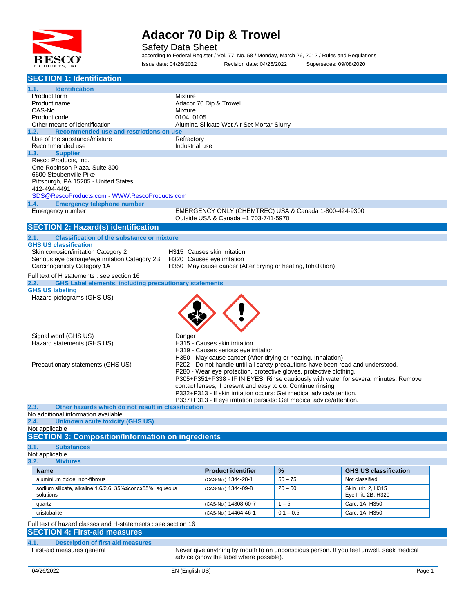

Safety Data Sheet

according to Federal Register / Vol. 77, No. 58 / Monday, March 26, 2012 / Rules and Regulations Issue date: 04/26/2022 Revision date: 04/26/2022 Supersedes: 09/08/2020

| <b>SECTION 1: Identification</b>                                                         |                                                                                                                                                         |             |                                                                                           |
|------------------------------------------------------------------------------------------|---------------------------------------------------------------------------------------------------------------------------------------------------------|-------------|-------------------------------------------------------------------------------------------|
| <b>Identification</b><br>1.1.                                                            |                                                                                                                                                         |             |                                                                                           |
| Product form                                                                             | Mixture                                                                                                                                                 |             |                                                                                           |
| Product name<br>CAS-No.                                                                  | Adacor 70 Dip & Trowel<br>Mixture                                                                                                                       |             |                                                                                           |
| Product code                                                                             | 0104, 0105                                                                                                                                              |             |                                                                                           |
| Other means of identification                                                            | : Alumina-Silicate Wet Air Set Mortar-Slurry                                                                                                            |             |                                                                                           |
| Recommended use and restrictions on use<br>1.2.<br>Use of the substance/mixture          | : Refractory                                                                                                                                            |             |                                                                                           |
| Recommended use                                                                          | : Industrial use                                                                                                                                        |             |                                                                                           |
| 1.3.<br><b>Supplier</b>                                                                  |                                                                                                                                                         |             |                                                                                           |
| Resco Products, Inc.<br>One Robinson Plaza, Suite 300                                    |                                                                                                                                                         |             |                                                                                           |
| 6600 Steubenville Pike                                                                   |                                                                                                                                                         |             |                                                                                           |
| Pittsburgh, PA 15205 - United States                                                     |                                                                                                                                                         |             |                                                                                           |
| 412-494-4491                                                                             |                                                                                                                                                         |             |                                                                                           |
| SDS@RescoProducts.com WWW.RescoProducts.com<br>1.4.<br><b>Emergency telephone number</b> |                                                                                                                                                         |             |                                                                                           |
| Emergency number                                                                         | : EMERGENCY ONLY (CHEMTREC) USA & Canada 1-800-424-9300                                                                                                 |             |                                                                                           |
|                                                                                          | Outside USA & Canada +1 703-741-5970                                                                                                                    |             |                                                                                           |
| <b>SECTION 2: Hazard(s) identification</b>                                               |                                                                                                                                                         |             |                                                                                           |
| <b>Classification of the substance or mixture</b><br>2.1.                                |                                                                                                                                                         |             |                                                                                           |
| <b>GHS US classification</b><br>Skin corrosion/irritation Category 2                     | H315 Causes skin irritation                                                                                                                             |             |                                                                                           |
| Serious eye damage/eye irritation Category 2B                                            | H320 Causes eye irritation                                                                                                                              |             |                                                                                           |
| Carcinogenicity Category 1A                                                              | H350 May cause cancer (After drying or heating, Inhalation)                                                                                             |             |                                                                                           |
| Full text of H statements : see section 16                                               |                                                                                                                                                         |             |                                                                                           |
| <b>GHS Label elements, including precautionary statements</b><br>2.2.                    |                                                                                                                                                         |             |                                                                                           |
| <b>GHS US labeling</b><br>Hazard pictograms (GHS US)                                     |                                                                                                                                                         |             |                                                                                           |
|                                                                                          |                                                                                                                                                         |             |                                                                                           |
|                                                                                          |                                                                                                                                                         |             |                                                                                           |
|                                                                                          |                                                                                                                                                         |             |                                                                                           |
|                                                                                          |                                                                                                                                                         |             |                                                                                           |
| Signal word (GHS US)<br>Hazard statements (GHS US)                                       | Danger<br>H315 - Causes skin irritation                                                                                                                 |             |                                                                                           |
|                                                                                          | H319 - Causes serious eye irritation                                                                                                                    |             |                                                                                           |
|                                                                                          | H350 - May cause cancer (After drying or heating, Inhalation)                                                                                           |             |                                                                                           |
| Precautionary statements (GHS US)                                                        | P202 - Do not handle until all safety precautions have been read and understood.<br>P280 - Wear eye protection, protective gloves, protective clothing. |             |                                                                                           |
|                                                                                          |                                                                                                                                                         |             | P305+P351+P338 - IF IN EYES: Rinse cautiously with water for several minutes. Remove      |
|                                                                                          | contact lenses, if present and easy to do. Continue rinsing.                                                                                            |             |                                                                                           |
|                                                                                          | P332+P313 - If skin irritation occurs: Get medical advice/attention.<br>P337+P313 - If eye irritation persists: Get medical advice/attention.           |             |                                                                                           |
| Other hazards which do not result in classification<br>2.3.                              |                                                                                                                                                         |             |                                                                                           |
| No additional information available                                                      |                                                                                                                                                         |             |                                                                                           |
| <b>Unknown acute toxicity (GHS US)</b><br>2.4.<br>Not applicable                         |                                                                                                                                                         |             |                                                                                           |
| <b>SECTION 3: Composition/Information on ingredients</b>                                 |                                                                                                                                                         |             |                                                                                           |
| 3.1.<br><b>Substances</b>                                                                |                                                                                                                                                         |             |                                                                                           |
| Not applicable                                                                           |                                                                                                                                                         |             |                                                                                           |
| 3.2.<br><b>Mixtures</b>                                                                  |                                                                                                                                                         |             |                                                                                           |
| <b>Name</b>                                                                              | <b>Product identifier</b>                                                                                                                               | %           | <b>GHS US classification</b>                                                              |
| aluminium oxide, non-fibrous                                                             | (CAS-No.) 1344-28-1                                                                                                                                     | $50 - 75$   | Not classified                                                                            |
| sodium silicate, alkaline 1.6/2.6, 35%≤conc≤55%, aqueous                                 | (CAS-No.) 1344-09-8                                                                                                                                     | $20 - 50$   | Skin Irrit. 2, H315                                                                       |
| solutions                                                                                |                                                                                                                                                         |             | Eye Irrit. 2B, H320                                                                       |
| quartz                                                                                   | (CAS-No.) 14808-60-7                                                                                                                                    | $1 - 5$     | Carc. 1A, H350                                                                            |
| cristobalite                                                                             | (CAS-No.) 14464-46-1                                                                                                                                    | $0.1 - 0.5$ | Carc. 1A, H350                                                                            |
| Full text of hazard classes and H-statements : see section 16                            |                                                                                                                                                         |             |                                                                                           |
| <b>SECTION 4: First-aid measures</b>                                                     |                                                                                                                                                         |             |                                                                                           |
| 4.1.<br><b>Description of first aid measures</b><br>First-aid measures general           |                                                                                                                                                         |             | : Never give anything by mouth to an unconscious person. If you feel unwell, seek medical |
|                                                                                          | advice (show the label where possible).                                                                                                                 |             |                                                                                           |
|                                                                                          |                                                                                                                                                         |             |                                                                                           |
| 04/26/2022                                                                               | EN (English US)                                                                                                                                         |             | Page 1                                                                                    |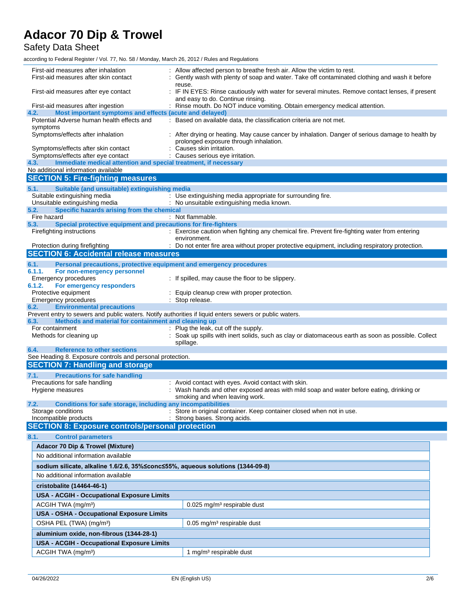Safety Data Sheet

according to Federal Register / Vol. 77, No. 58 / Monday, March 26, 2012 / Rules and Regulations

| First-aid measures after inhalation<br>First-aid measures after skin contact                                  | Allow affected person to breathe fresh air. Allow the victim to rest.<br>Gently wash with plenty of soap and water. Take off contaminated clothing and wash it before |
|---------------------------------------------------------------------------------------------------------------|-----------------------------------------------------------------------------------------------------------------------------------------------------------------------|
| First-aid measures after eye contact                                                                          | reuse.<br>: IF IN EYES: Rinse cautiously with water for several minutes. Remove contact lenses, if present<br>and easy to do. Continue rinsing.                       |
| First-aid measures after ingestion                                                                            | : Rinse mouth. Do NOT induce vomiting. Obtain emergency medical attention.                                                                                            |
| 4.2.<br>Most important symptoms and effects (acute and delayed)<br>Potential Adverse human health effects and | : Based on available data, the classification criteria are not met.                                                                                                   |
| symptoms                                                                                                      |                                                                                                                                                                       |
| Symptoms/effects after inhalation                                                                             | : After drying or heating. May cause cancer by inhalation. Danger of serious damage to health by<br>prolonged exposure through inhalation.                            |
| Symptoms/effects after skin contact                                                                           | : Causes skin irritation.                                                                                                                                             |
| Symptoms/effects after eye contact<br>Immediate medical attention and special treatment, if necessary<br>4.3. | : Causes serious eye irritation.                                                                                                                                      |
| No additional information available                                                                           |                                                                                                                                                                       |
| <b>SECTION 5: Fire-fighting measures</b>                                                                      |                                                                                                                                                                       |
| 5.1.<br>Suitable (and unsuitable) extinguishing media                                                         |                                                                                                                                                                       |
| Suitable extinguishing media                                                                                  | : Use extinguishing media appropriate for surrounding fire.                                                                                                           |
| Unsuitable extinguishing media                                                                                | : No unsuitable extinguishing media known.                                                                                                                            |
| Specific hazards arising from the chemical<br>5.2.                                                            |                                                                                                                                                                       |
| Fire hazard<br>Special protective equipment and precautions for fire-fighters<br>5.3.                         | : Not flammable.                                                                                                                                                      |
| Firefighting instructions                                                                                     | : Exercise caution when fighting any chemical fire. Prevent fire-fighting water from entering                                                                         |
|                                                                                                               | environment.                                                                                                                                                          |
| Protection during firefighting                                                                                | : Do not enter fire area without proper protective equipment, including respiratory protection.                                                                       |
| <b>SECTION 6: Accidental release measures</b>                                                                 |                                                                                                                                                                       |
| 6.1.<br>Personal precautions, protective equipment and emergency procedures                                   |                                                                                                                                                                       |
| 6.1.1.<br>For non-emergency personnel                                                                         |                                                                                                                                                                       |
| Emergency procedures                                                                                          | : If spilled, may cause the floor to be slippery.                                                                                                                     |
| 6.1.2.<br>For emergency responders                                                                            |                                                                                                                                                                       |
| Protective equipment<br><b>Emergency procedures</b>                                                           | : Equip cleanup crew with proper protection.<br>: Stop release.                                                                                                       |
| <b>Environmental precautions</b><br>6.2.                                                                      |                                                                                                                                                                       |
| Prevent entry to sewers and public waters. Notify authorities if liquid enters sewers or public waters.       |                                                                                                                                                                       |
| Methods and material for containment and cleaning up<br>6.3.                                                  |                                                                                                                                                                       |
| For containment                                                                                               | : Plug the leak, cut off the supply.                                                                                                                                  |
| Methods for cleaning up                                                                                       | : Soak up spills with inert solids, such as clay or diatomaceous earth as soon as possible. Collect<br>spillage.                                                      |
| 6.4.<br><b>Reference to other sections</b>                                                                    |                                                                                                                                                                       |
| See Heading 8. Exposure controls and personal protection.                                                     |                                                                                                                                                                       |
| <b>SECTION 7: Handling and storage</b>                                                                        |                                                                                                                                                                       |
| <b>Precautions for safe handling</b><br>7.1.                                                                  |                                                                                                                                                                       |
| Precautions for safe handling                                                                                 | : Avoid contact with eyes. Avoid contact with skin.                                                                                                                   |
| Hygiene measures                                                                                              | : Wash hands and other exposed areas with mild soap and water before eating, drinking or                                                                              |
|                                                                                                               | smoking and when leaving work.                                                                                                                                        |
| Conditions for safe storage, including any incompatibilities<br>7.2.<br>Storage conditions                    | : Store in original container. Keep container closed when not in use                                                                                                  |
| Incompatible products                                                                                         | : Strong bases. Strong acids.                                                                                                                                         |
| <b>SECTION 8: Exposure controls/personal protection</b>                                                       |                                                                                                                                                                       |
| 8.1.<br><b>Control parameters</b>                                                                             |                                                                                                                                                                       |
| Adacor 70 Dip & Trowel (Mixture)                                                                              |                                                                                                                                                                       |
| No additional information available                                                                           |                                                                                                                                                                       |
|                                                                                                               |                                                                                                                                                                       |
| sodium silicate, alkaline 1.6/2.6, 35%≤conc≤55%, aqueous solutions (1344-09-8)                                |                                                                                                                                                                       |
| No additional information available                                                                           |                                                                                                                                                                       |
| cristobalite (14464-46-1)                                                                                     |                                                                                                                                                                       |
| <b>USA - ACGIH - Occupational Exposure Limits</b>                                                             |                                                                                                                                                                       |
| ACGIH TWA (mg/m <sup>3</sup> )                                                                                | 0.025 mg/m <sup>3</sup> respirable dust                                                                                                                               |
| <b>USA - OSHA - Occupational Exposure Limits</b>                                                              |                                                                                                                                                                       |
| OSHA PEL (TWA) (mg/m <sup>3</sup> )                                                                           | $0.05$ mg/m <sup>3</sup> respirable dust                                                                                                                              |
|                                                                                                               |                                                                                                                                                                       |
| aluminium oxide, non-fibrous (1344-28-1)                                                                      |                                                                                                                                                                       |
| <b>USA - ACGIH - Occupational Exposure Limits</b>                                                             |                                                                                                                                                                       |
| ACGIH TWA (mg/m <sup>3</sup> )                                                                                | 1 mg/m <sup>3</sup> respirable dust                                                                                                                                   |
|                                                                                                               |                                                                                                                                                                       |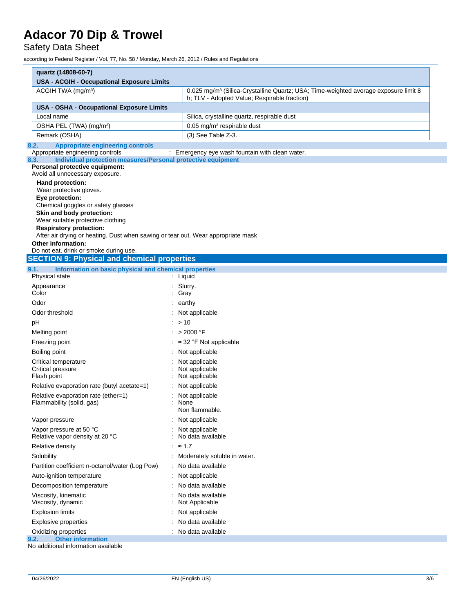Safety Data Sheet

according to Federal Register / Vol. 77, No. 58 / Monday, March 26, 2012 / Rules and Regulations

| quartz (14808-60-7)                                                                                                                                                               |                                                 |  |  |
|-----------------------------------------------------------------------------------------------------------------------------------------------------------------------------------|-------------------------------------------------|--|--|
| <b>USA - ACGIH - Occupational Exposure Limits</b>                                                                                                                                 |                                                 |  |  |
| ACGIH TWA (mg/m <sup>3</sup> )<br>0.025 mg/m <sup>3</sup> (Silica-Crystalline Quartz; USA; Time-weighted average exposure limit 8<br>h; TLV - Adopted Value; Respirable fraction) |                                                 |  |  |
| USA - OSHA - Occupational Exposure Limits                                                                                                                                         |                                                 |  |  |
| Local name<br>Silica, crystalline quartz, respirable dust                                                                                                                         |                                                 |  |  |
| OSHA PEL (TWA) (mg/m <sup>3</sup> )                                                                                                                                               | 0.05 mg/m <sup>3</sup> respirable dust          |  |  |
| Remark (OSHA)                                                                                                                                                                     | (3) See Table Z-3.                              |  |  |
| <b>Appropriate engineering controls</b><br>8.2.                                                                                                                                   |                                                 |  |  |
| Appropriate engineering controls<br>Individual protection measures/Personal protective equipment<br>8.3.                                                                          | : Emergency eye wash fountain with clean water. |  |  |
| Personal protective equipment:                                                                                                                                                    |                                                 |  |  |
| Avoid all unnecessary exposure.                                                                                                                                                   |                                                 |  |  |
| Hand protection:<br>Wear protective gloves.                                                                                                                                       |                                                 |  |  |
| Eye protection:                                                                                                                                                                   |                                                 |  |  |
| Chemical goggles or safety glasses                                                                                                                                                |                                                 |  |  |
| Skin and body protection:                                                                                                                                                         |                                                 |  |  |
| Wear suitable protective clothing<br><b>Respiratory protection:</b>                                                                                                               |                                                 |  |  |
| After air drying or heating. Dust when sawing or tear out. Wear appropriate mask                                                                                                  |                                                 |  |  |
| Other information:                                                                                                                                                                |                                                 |  |  |
| Do not eat, drink or smoke during use.                                                                                                                                            |                                                 |  |  |
| <b>SECTION 9: Physical and chemical properties</b>                                                                                                                                |                                                 |  |  |
| Information on basic physical and chemical properties<br>9.1.<br>Physical state                                                                                                   | : Liquid                                        |  |  |
| Appearance                                                                                                                                                                        | : Slurry.                                       |  |  |
| Color                                                                                                                                                                             | : Gray                                          |  |  |
| Odor                                                                                                                                                                              | : earthy                                        |  |  |
| Odor threshold                                                                                                                                                                    | : Not applicable                                |  |  |
| рH                                                                                                                                                                                | : > 10                                          |  |  |
| Melting point                                                                                                                                                                     | : $>2000$ °F                                    |  |  |
| Freezing point                                                                                                                                                                    | : ≈ 32 °F Not applicable                        |  |  |
| Boiling point                                                                                                                                                                     | : Not applicable                                |  |  |
| Critical temperature                                                                                                                                                              | Not applicable                                  |  |  |
| Critical pressure                                                                                                                                                                 | Not applicable                                  |  |  |
| Flash point                                                                                                                                                                       | Not applicable                                  |  |  |
| Relative evaporation rate (butyl acetate=1)                                                                                                                                       | Not applicable                                  |  |  |
| Relative evaporation rate (ether=1)                                                                                                                                               | Not applicable<br>: None                        |  |  |
| Flammability (solid, gas)                                                                                                                                                         | Non flammable.                                  |  |  |
| Vapor pressure                                                                                                                                                                    | Not applicable                                  |  |  |
| Vapor pressure at 50 °C                                                                                                                                                           | Not applicable                                  |  |  |
| Relative vapor density at 20 °C                                                                                                                                                   | No data available                               |  |  |
| Relative density                                                                                                                                                                  | $\approx$ 1.7                                   |  |  |
|                                                                                                                                                                                   |                                                 |  |  |
| Solubility                                                                                                                                                                        | : Moderately soluble in water.                  |  |  |
| Partition coefficient n-octanol/water (Log Pow)                                                                                                                                   | : No data available                             |  |  |
| Auto-ignition temperature                                                                                                                                                         | Not applicable                                  |  |  |
| Decomposition temperature                                                                                                                                                         | No data available                               |  |  |
| Viscosity, kinematic<br>Viscosity, dynamic                                                                                                                                        | No data available<br>Not Applicable             |  |  |
| <b>Explosion limits</b>                                                                                                                                                           | Not applicable                                  |  |  |
| <b>Explosive properties</b>                                                                                                                                                       | No data available                               |  |  |

onal information available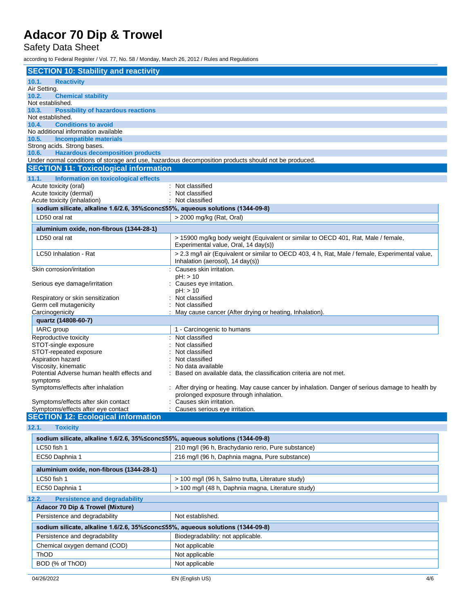Safety Data Sheet

according to Federal Register / Vol. 77, No. 58 / Monday, March 26, 2012 / Rules and Regulations

| <b>SECTION 10: Stability and reactivity</b>                                    |                                                                                                      |
|--------------------------------------------------------------------------------|------------------------------------------------------------------------------------------------------|
| 10.1.<br><b>Reactivity</b>                                                     |                                                                                                      |
| Air Setting.                                                                   |                                                                                                      |
| 10.2.<br><b>Chemical stability</b>                                             |                                                                                                      |
| Not established.                                                               |                                                                                                      |
| <b>Possibility of hazardous reactions</b><br>10.3.                             |                                                                                                      |
| Not established.                                                               |                                                                                                      |
| <b>Conditions to avoid</b><br>10.4.                                            |                                                                                                      |
| No additional information available<br><b>Incompatible materials</b><br>10.5.  |                                                                                                      |
| Strong acids. Strong bases.                                                    |                                                                                                      |
| <b>Hazardous decomposition products</b><br>10.6.                               |                                                                                                      |
|                                                                                | Under normal conditions of storage and use, hazardous decomposition products should not be produced. |
| <b>SECTION 11: Toxicological information</b>                                   |                                                                                                      |
|                                                                                |                                                                                                      |
| 11.1.<br>Information on toxicological effects<br>Acute toxicity (oral)         | : Not classified                                                                                     |
| Acute toxicity (dermal)                                                        | Not classified                                                                                       |
| Acute toxicity (inhalation)                                                    | Not classified                                                                                       |
| sodium silicate, alkaline 1.6/2.6, 35%≤conc≤55%, aqueous solutions (1344-09-8) |                                                                                                      |
| LD50 oral rat                                                                  | > 2000 mg/kg (Rat, Oral)                                                                             |
|                                                                                |                                                                                                      |
| aluminium oxide, non-fibrous (1344-28-1)                                       |                                                                                                      |
| LD50 oral rat                                                                  | > 15900 mg/kg body weight (Equivalent or similar to OECD 401, Rat, Male / female,                    |
|                                                                                | Experimental value, Oral, 14 day(s))                                                                 |
| LC50 Inhalation - Rat                                                          | > 2.3 mg/l air (Equivalent or similar to OECD 403, 4 h, Rat, Male / female, Experimental value,      |
|                                                                                | Inhalation (aerosol), 14 day(s))                                                                     |
| Skin corrosion/irritation                                                      | Causes skin irritation.                                                                              |
|                                                                                | $pH:$ > 10                                                                                           |
| Serious eye damage/irritation                                                  | : Causes eye irritation.                                                                             |
|                                                                                | $pH:$ > 10                                                                                           |
| Respiratory or skin sensitization                                              | Not classified                                                                                       |
| Germ cell mutagenicity                                                         | Not classified                                                                                       |
| Carcinogenicity                                                                | May cause cancer (After drying or heating, Inhalation).                                              |
| quartz (14808-60-7)                                                            |                                                                                                      |
| IARC group                                                                     | 1 - Carcinogenic to humans                                                                           |
| Reproductive toxicity                                                          | Not classified                                                                                       |
| STOT-single exposure                                                           | Not classified                                                                                       |
| STOT-repeated exposure                                                         | Not classified                                                                                       |
| Aspiration hazard                                                              | Not classified                                                                                       |
| Viscosity, kinematic                                                           | No data available                                                                                    |
| Potential Adverse human health effects and                                     | Based on available data, the classification criteria are not met.                                    |
| symptoms<br>Symptoms/effects after inhalation                                  | After drying or heating. May cause cancer by inhalation. Danger of serious damage to health by       |
|                                                                                | prolonged exposure through inhalation.                                                               |
| Symptoms/effects after skin contact                                            | Causes skin irritation.                                                                              |
| Symptoms/effects after eye contact                                             | : Causes serious eye irritation.                                                                     |
| <b>SECTION 12: Ecological information</b>                                      |                                                                                                      |
|                                                                                |                                                                                                      |
| 12.1.<br><b>Toxicity</b>                                                       |                                                                                                      |
| sodium silicate, alkaline 1.6/2.6, 35%≤conc≤55%, aqueous solutions (1344-09-8) |                                                                                                      |
| LC50 fish 1                                                                    | 210 mg/l (96 h, Brachydanio rerio, Pure substance)                                                   |
| EC50 Daphnia 1                                                                 | 216 mg/l (96 h, Daphnia magna, Pure substance)                                                       |

| _____________                            |                                                    |
|------------------------------------------|----------------------------------------------------|
| aluminium oxide, non-fibrous (1344-28-1) |                                                    |
| LC50 fish 1                              | > 100 mg/l (96 h, Salmo trutta, Literature study)  |
| EC50 Daphnia 1                           | > 100 mg/l (48 h, Daphnia magna, Literature study) |

#### **12.2. Persistence and degradability**

| Adacor 70 Dip & Trowel (Mixture)                                               |                                   |  |  |
|--------------------------------------------------------------------------------|-----------------------------------|--|--|
| Persistence and degradability                                                  | Not established.                  |  |  |
| sodium silicate, alkaline 1.6/2.6, 35%≤conc≤55%, aqueous solutions (1344-09-8) |                                   |  |  |
| Persistence and degradability                                                  | Biodegradability: not applicable. |  |  |
| Chemical oxygen demand (COD)                                                   | Not applicable                    |  |  |
| ThOD                                                                           | Not applicable                    |  |  |
| BOD (% of ThOD)                                                                | Not applicable                    |  |  |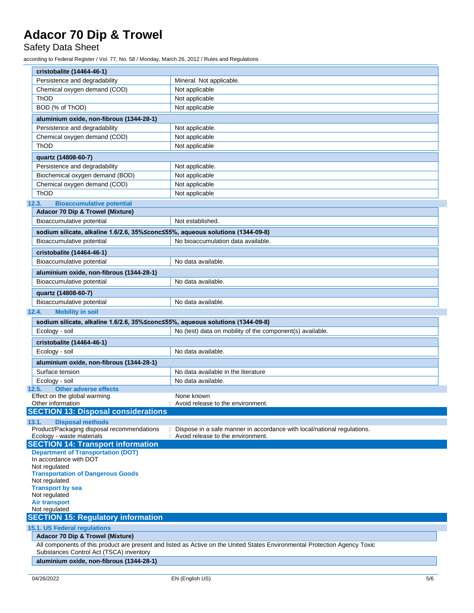#### Safety Data Sheet

according to Federal Register / Vol. 77, No. 58 / Monday, March 26, 2012 / Rules and Regulations

| cristobalite (14464-46-1)                                                        |                                                                                                                            |  |
|----------------------------------------------------------------------------------|----------------------------------------------------------------------------------------------------------------------------|--|
| Persistence and degradability                                                    | Mineral. Not applicable.                                                                                                   |  |
| Chemical oxygen demand (COD)                                                     | Not applicable                                                                                                             |  |
| ThOD                                                                             | Not applicable                                                                                                             |  |
| BOD (% of ThOD)                                                                  | Not applicable                                                                                                             |  |
| aluminium oxide, non-fibrous (1344-28-1)                                         |                                                                                                                            |  |
| Persistence and degradability                                                    | Not applicable.                                                                                                            |  |
| Chemical oxygen demand (COD)                                                     | Not applicable                                                                                                             |  |
| <b>ThOD</b>                                                                      | Not applicable                                                                                                             |  |
|                                                                                  |                                                                                                                            |  |
| quartz (14808-60-7)                                                              |                                                                                                                            |  |
| Persistence and degradability                                                    | Not applicable.                                                                                                            |  |
| Biochemical oxygen demand (BOD)                                                  | Not applicable                                                                                                             |  |
| Chemical oxygen demand (COD)                                                     | Not applicable                                                                                                             |  |
| <b>ThOD</b>                                                                      | Not applicable                                                                                                             |  |
| <b>Bioaccumulative potential</b><br>12.3.                                        |                                                                                                                            |  |
| <b>Adacor 70 Dip &amp; Trowel (Mixture)</b>                                      |                                                                                                                            |  |
| Bioaccumulative potential                                                        | Not established.                                                                                                           |  |
| sodium silicate, alkaline 1.6/2.6, 35% ≤conc ≤55%, aqueous solutions (1344-09-8) |                                                                                                                            |  |
| Bioaccumulative potential                                                        | No bioaccumulation data available.                                                                                         |  |
| cristobalite (14464-46-1)                                                        |                                                                                                                            |  |
| Bioaccumulative potential                                                        | No data available.                                                                                                         |  |
| aluminium oxide, non-fibrous (1344-28-1)                                         |                                                                                                                            |  |
| Bioaccumulative potential                                                        | No data available.                                                                                                         |  |
|                                                                                  |                                                                                                                            |  |
| quartz (14808-60-7)                                                              |                                                                                                                            |  |
| Bioaccumulative potential                                                        | No data available.                                                                                                         |  |
| <b>Mobility in soil</b><br>12.4.                                                 |                                                                                                                            |  |
| sodium silicate, alkaline 1.6/2.6, 35%≤conc≤55%, aqueous solutions (1344-09-8)   |                                                                                                                            |  |
| Ecology - soil                                                                   | No (test) data on mobility of the component(s) available.                                                                  |  |
| cristobalite (14464-46-1)                                                        |                                                                                                                            |  |
| Ecology - soil                                                                   | No data available.                                                                                                         |  |
| aluminium oxide, non-fibrous (1344-28-1)                                         |                                                                                                                            |  |
| Surface tension                                                                  | No data available in the literature                                                                                        |  |
| Ecology - soil                                                                   | No data available.                                                                                                         |  |
| <b>Other adverse effects</b><br>12.5.                                            |                                                                                                                            |  |
| Effect on the global warming                                                     | None known                                                                                                                 |  |
| Other information                                                                | Avoid release to the environment.                                                                                          |  |
| <b>SECTION 13: Disposal considerations</b>                                       |                                                                                                                            |  |
| 13.1.<br><b>Disposal methods</b>                                                 |                                                                                                                            |  |
| Product/Packaging disposal recommendations<br>Ecology - waste materials          | Dispose in a safe manner in accordance with local/national regulations.<br>Avoid release to the environment.               |  |
| <b>SECTION 14: Transport information</b>                                         |                                                                                                                            |  |
| <b>Department of Transportation (DOT)</b>                                        |                                                                                                                            |  |
| In accordance with DOT                                                           |                                                                                                                            |  |
| Not regulated                                                                    |                                                                                                                            |  |
| <b>Transportation of Dangerous Goods</b><br>Not regulated                        |                                                                                                                            |  |
| <b>Transport by sea</b>                                                          |                                                                                                                            |  |
| Not regulated                                                                    |                                                                                                                            |  |
| <b>Air transport</b>                                                             |                                                                                                                            |  |
| Not regulated                                                                    |                                                                                                                            |  |
| <b>SECTION 15: Regulatory information</b>                                        |                                                                                                                            |  |
| 15.1. US Federal regulations                                                     |                                                                                                                            |  |
| <b>Adacor 70 Dip &amp; Trowel (Mixture)</b>                                      |                                                                                                                            |  |
| Substances Control Act (TSCA) inventory                                          | All components of this product are present and listed as Active on the United States Environmental Protection Agency Toxic |  |
| aluminium oxide, non-fibrous (1344-28-1)                                         |                                                                                                                            |  |